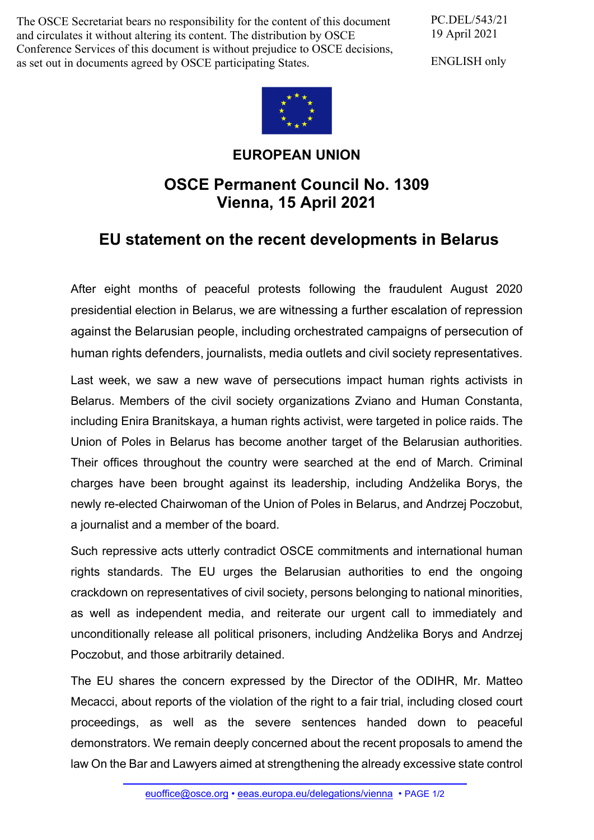The OSCE Secretariat bears no responsibility for the content of this document and circulates it without altering its content. The distribution by OSCE Conference Services of this document is without prejudice to OSCE decisions, as set out in documents agreed by OSCE participating States.

PC.DEL/543/21 19 April 2021

ENGLISH only



## **EUROPEAN UNION**

## **OSCE Permanent Council No. 1309 Vienna, 15 April 2021**

## **EU statement on the recent developments in Belarus**

After eight months of peaceful protests following the fraudulent August 2020 presidential election in Belarus, we are witnessing a further escalation of repression against the Belarusian people, including orchestrated campaigns of persecution of human rights defenders, journalists, media outlets and civil society representatives.

Last week, we saw a new wave of persecutions impact human rights activists in Belarus. Members of the civil society organizations Zviano and Human Constanta, including Enira Branitskaya, a human rights activist, were targeted in police raids. The Union of Poles in Belarus has become another target of the Belarusian authorities. Their offices throughout the country were searched at the end of March. Criminal charges have been brought against its leadership, including Andżelika Borys, the newly re-elected Chairwoman of the Union of Poles in Belarus, and Andrzej Poczobut, a journalist and a member of the board.

Such repressive acts utterly contradict OSCE commitments and international human rights standards. The EU urges the Belarusian authorities to end the ongoing crackdown on representatives of civil society, persons belonging to national minorities, as well as independent media, and reiterate our urgent call to immediately and unconditionally release all political prisoners, including Andżelika Borys and Andrzej Poczobut, and those arbitrarily detained.

The EU shares the concern expressed by the Director of the ODIHR, Mr. Matteo Mecacci, about reports of the violation of the right to a fair trial, including closed court proceedings, as well as the severe sentences handed down to peaceful demonstrators. We remain deeply concerned about the recent proposals to amend the law On the Bar and Lawyers aimed at strengthening the already excessive state control